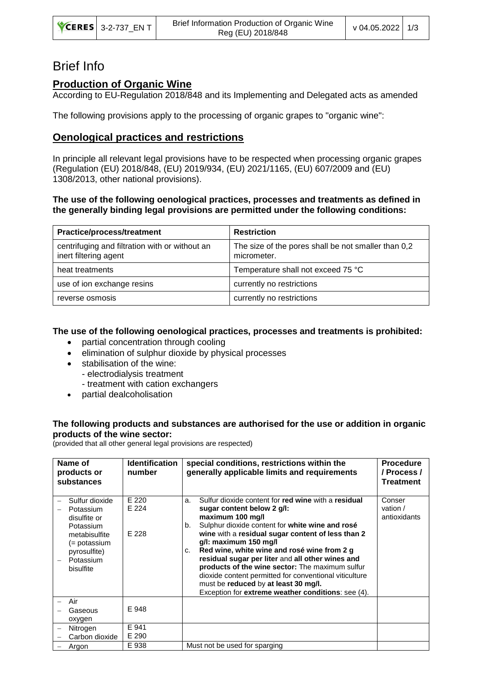| <b>CERES</b> 3-2-737 ENT | Brief Information Production of Organic Wine<br>Reg (EU) 2018/848 | v 04.05.2022 1/3 |  |
|--------------------------|-------------------------------------------------------------------|------------------|--|
|--------------------------|-------------------------------------------------------------------|------------------|--|

# Brief Info

## **Production of Organic Wine**

According to EU-Regulation 2018/848 and its Implementing and Delegated acts as amended

The following provisions apply to the processing of organic grapes to "organic wine":

# **Oenological practices and restrictions**

In principle all relevant legal provisions have to be respected when processing organic grapes (Regulation (EU) 2018/848, (EU) 2019/934, (EU) 2021/1165, (EU) 607/2009 and (EU) 1308/2013, other national provisions).

#### **The use of the following oenological practices, processes and treatments as defined in the generally binding legal provisions are permitted under the following conditions:**

| <b>Practice/process/treatment</b>                                       | <b>Restriction</b>                                                 |
|-------------------------------------------------------------------------|--------------------------------------------------------------------|
| centrifuging and filtration with or without an<br>inert filtering agent | The size of the pores shall be not smaller than 0,2<br>micrometer. |
| heat treatments                                                         | Temperature shall not exceed 75 °C                                 |
| use of ion exchange resins                                              | currently no restrictions                                          |
| reverse osmosis                                                         | currently no restrictions                                          |

### **The use of the following oenological practices, processes and treatments is prohibited:**

- partial concentration through cooling
- elimination of sulphur dioxide by physical processes
- stabilisation of the wine:
	- electrodialysis treatment
	- treatment with cation exchangers
- partial dealcoholisation

### **The following products and substances are authorised for the use or addition in organic products of the wine sector:**

(provided that all other general legal provisions are respected)

| Name of<br>products or<br>substances                                                                                                | <b>Identification</b><br>number | special conditions, restrictions within the<br>generally applicable limits and requirements                                                                                                                                                                                                                                                                                                                                                                                                                                                                                    | <b>Procedure</b><br>/ Process /<br><b>Treatment</b> |
|-------------------------------------------------------------------------------------------------------------------------------------|---------------------------------|--------------------------------------------------------------------------------------------------------------------------------------------------------------------------------------------------------------------------------------------------------------------------------------------------------------------------------------------------------------------------------------------------------------------------------------------------------------------------------------------------------------------------------------------------------------------------------|-----------------------------------------------------|
| Sulfur dioxide<br>Potassium<br>disulfite or<br>Potassium<br>metabisulfite<br>(= potassium<br>pyrosulfite)<br>Potassium<br>bisulfite | E 220<br>E 224<br>E 228         | Sulfur dioxide content for red wine with a residual<br>a.<br>sugar content below 2 g/l:<br>maximum 100 mg/l<br>Sulphur dioxide content for white wine and rosé<br>b.<br>wine with a residual sugar content of less than 2<br>g/l: maximum 150 mg/l<br>Red wine, white wine and rosé wine from 2 g<br>C.<br>residual sugar per liter and all other wines and<br>products of the wine sector: The maximum sulfur<br>dioxide content permitted for conventional viticulture<br>must be reduced by at least 30 mg/l.<br>Exception for <b>extreme weather conditions</b> : see (4). | Conser<br>vation $/$<br>antioxidants                |
| Air<br>Gaseous<br>oxygen                                                                                                            | E 948                           |                                                                                                                                                                                                                                                                                                                                                                                                                                                                                                                                                                                |                                                     |
| Nitrogen<br>Carbon dioxide                                                                                                          | E 941<br>E 290                  |                                                                                                                                                                                                                                                                                                                                                                                                                                                                                                                                                                                |                                                     |
| Argon                                                                                                                               | E 938                           | Must not be used for sparging                                                                                                                                                                                                                                                                                                                                                                                                                                                                                                                                                  |                                                     |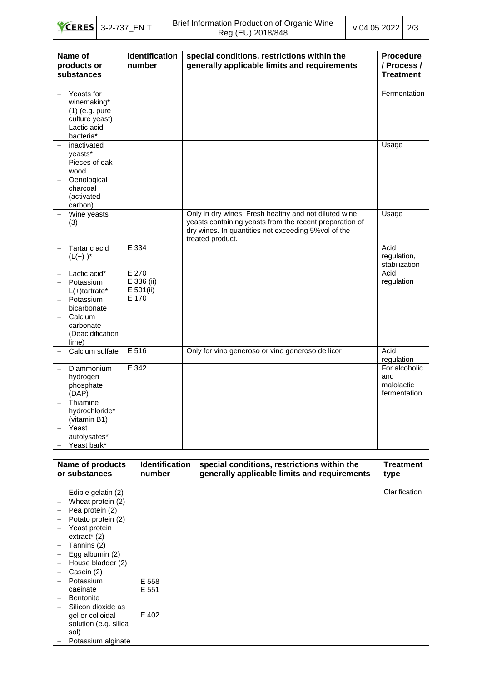|  | $\text{CERES}$ 3-2-737 ENT | Brief Information Production of Organic Wine<br>Reg (EU) 2018/848 | v 04.05.2022 2/3 |  |
|--|----------------------------|-------------------------------------------------------------------|------------------|--|
|--|----------------------------|-------------------------------------------------------------------|------------------|--|

| Name of<br>products or<br>substances                                                                                           | <b>Identification</b><br>number             | special conditions, restrictions within the<br>generally applicable limits and requirements                                                                                                  | <b>Procedure</b><br>/ Process /<br><b>Treatment</b> |
|--------------------------------------------------------------------------------------------------------------------------------|---------------------------------------------|----------------------------------------------------------------------------------------------------------------------------------------------------------------------------------------------|-----------------------------------------------------|
| Yeasts for<br>winemaking*<br>$(1)$ (e.g. pure<br>culture yeast)<br>Lactic acid<br>bacteria*                                    |                                             |                                                                                                                                                                                              | Fermentation                                        |
| inactivated<br>yeasts*<br>Pieces of oak<br>wood<br>Oenological<br>charcoal<br>(activated<br>carbon)                            |                                             |                                                                                                                                                                                              | Usage                                               |
| Wine yeasts<br>(3)                                                                                                             |                                             | Only in dry wines. Fresh healthy and not diluted wine<br>yeasts containing yeasts from the recent preparation of<br>dry wines. In quantities not exceeding 5% vol of the<br>treated product. | Usage                                               |
| Tartaric acid<br>$(L(+)-)^*$                                                                                                   | E 334                                       |                                                                                                                                                                                              | Acid<br>regulation,<br>stabilization                |
| Lactic acid*<br>Potassium<br>$L(+)$ tartrate*<br>Potassium<br>bicarbonate<br>Calcium<br>carbonate<br>(Deacidification<br>lime) | E 270<br>E 336 (ii)<br>$E$ 501(ii)<br>E 170 |                                                                                                                                                                                              | Acid<br>regulation                                  |
| Calcium sulfate                                                                                                                | E 516                                       | Only for vino generoso or vino generoso de licor                                                                                                                                             | Acid<br>regulation                                  |
| Diammonium<br>hydrogen<br>phosphate<br>(DAP)                                                                                   | E 342                                       |                                                                                                                                                                                              | For alcoholic<br>and<br>malolactic<br>fermentation  |
| Thiamine<br>hydrochloride*<br>(vitamin B1)                                                                                     |                                             |                                                                                                                                                                                              |                                                     |
| Yeast<br>autolysates*<br>Yeast bark*                                                                                           |                                             |                                                                                                                                                                                              |                                                     |

| Name of products<br>or substances       | <b>Identification</b><br>number | special conditions, restrictions within the<br>generally applicable limits and requirements | Treatment<br>type |
|-----------------------------------------|---------------------------------|---------------------------------------------------------------------------------------------|-------------------|
| Edible gelatin (2)<br>$\qquad \qquad -$ |                                 |                                                                                             | Clarification     |
| Wheat protein (2)                       |                                 |                                                                                             |                   |
| Pea protein (2)                         |                                 |                                                                                             |                   |
| Potato protein (2)                      |                                 |                                                                                             |                   |
| Yeast protein                           |                                 |                                                                                             |                   |
| $extract^{*}(2)$                        |                                 |                                                                                             |                   |
| Tannins (2)                             |                                 |                                                                                             |                   |
| Egg albumin (2)                         |                                 |                                                                                             |                   |
| House bladder (2)                       |                                 |                                                                                             |                   |
| Casein (2)                              |                                 |                                                                                             |                   |
| Potassium                               | E 558                           |                                                                                             |                   |
| caeinate                                | E 551                           |                                                                                             |                   |
| <b>Bentonite</b>                        |                                 |                                                                                             |                   |
| Silicon dioxide as                      |                                 |                                                                                             |                   |
| gel or colloidal                        | E 402                           |                                                                                             |                   |
| solution (e.g. silica                   |                                 |                                                                                             |                   |
| sol)                                    |                                 |                                                                                             |                   |
| Potassium alginate                      |                                 |                                                                                             |                   |